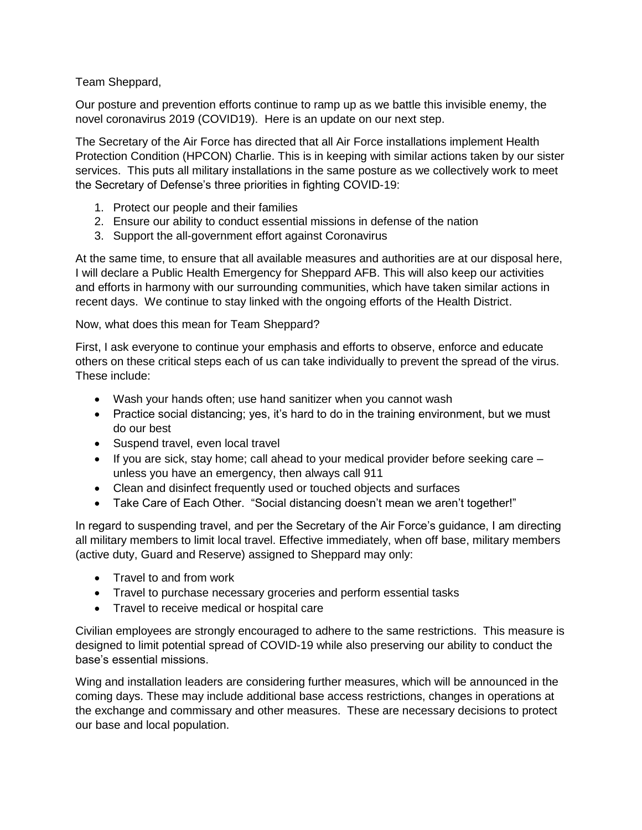Team Sheppard,

Our posture and prevention efforts continue to ramp up as we battle this invisible enemy, the novel coronavirus 2019 (COVID19). Here is an update on our next step.

The Secretary of the Air Force has directed that all Air Force installations implement Health Protection Condition (HPCON) Charlie. This is in keeping with similar actions taken by our sister services. This puts all military installations in the same posture as we collectively work to meet the Secretary of Defense's three priorities in fighting COVID-19:

- 1. Protect our people and their families
- 2. Ensure our ability to conduct essential missions in defense of the nation
- 3. Support the all-government effort against Coronavirus

At the same time, to ensure that all available measures and authorities are at our disposal here, I will declare a Public Health Emergency for Sheppard AFB. This will also keep our activities and efforts in harmony with our surrounding communities, which have taken similar actions in recent days. We continue to stay linked with the ongoing efforts of the Health District.

Now, what does this mean for Team Sheppard?

First, I ask everyone to continue your emphasis and efforts to observe, enforce and educate others on these critical steps each of us can take individually to prevent the spread of the virus. These include:

- Wash your hands often; use hand sanitizer when you cannot wash
- Practice social distancing; yes, it's hard to do in the training environment, but we must do our best
- Suspend travel, even local travel
- If you are sick, stay home; call ahead to your medical provider before seeking care unless you have an emergency, then always call 911
- Clean and disinfect frequently used or touched objects and surfaces
- Take Care of Each Other. "Social distancing doesn't mean we aren't together!"

In regard to suspending travel, and per the Secretary of the Air Force's guidance, I am directing all military members to limit local travel. Effective immediately, when off base, military members (active duty, Guard and Reserve) assigned to Sheppard may only:

- Travel to and from work
- Travel to purchase necessary groceries and perform essential tasks
- Travel to receive medical or hospital care

Civilian employees are strongly encouraged to adhere to the same restrictions. This measure is designed to limit potential spread of COVID-19 while also preserving our ability to conduct the base's essential missions.

Wing and installation leaders are considering further measures, which will be announced in the coming days. These may include additional base access restrictions, changes in operations at the exchange and commissary and other measures. These are necessary decisions to protect our base and local population.